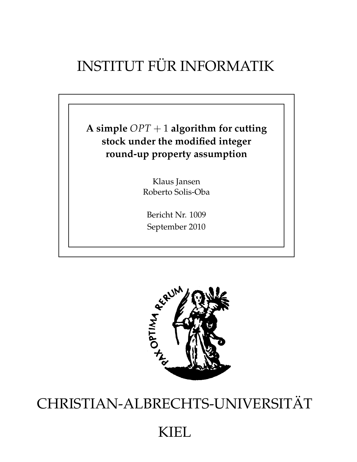# INSTITUT FÜR INFORMATIK

**A simple** *OPT* + 1 **algorithm for cutting stock under the modified integer round-up property assumption**

> Klaus Jansen Roberto Solis-Oba

Bericht Nr. 1009 September 2010



# CHRISTIAN-ALBRECHTS-UNIVERSITÄT

## KIEL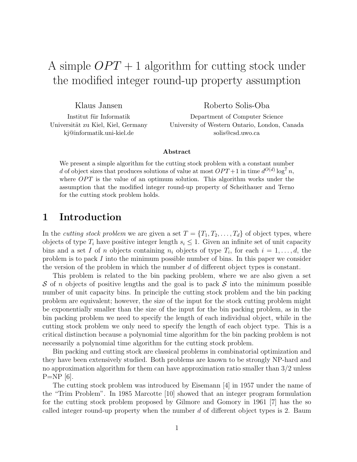## A simple  $OPT + 1$  algorithm for cutting stock under the modified integer round-up property assumption

Klaus Jansen

Roberto Solis-Oba

Institut für Informatik Universität zu Kiel, Kiel, Germany kj@informatik.uni-kiel.de

Department of Computer Science University of Western Ontario, London, Canada solis@csd.uwo.ca

#### Abstract

We present a simple algorithm for the cutting stock problem with a constant number d of object sizes that produces solutions of value at most  $OPT+1$  in time  $d^{O(d)} \log^7 n$ , where  $OPT$  is the value of an optimum solution. This algorithm works under the assumption that the modified integer round-up property of Scheithauer and Terno for the cutting stock problem holds.

### 1 Introduction

In the *cutting stock problem* we are given a set  $T = \{T_1, T_2, \ldots, T_d\}$  of object types, where objects of type  $T_i$  have positive integer length  $s_i \leq 1$ . Given an infinite set of unit capacity bins and a set I of n objects containing  $n_i$  objects of type  $T_i$ , for each  $i = 1, \ldots, d$ , the problem is to pack I into the minimum possible number of bins. In this paper we consider the version of the problem in which the number d of different object types is constant.

This problem is related to the bin packing problem, where we are also given a set S of n objects of positive lengths and the goal is to pack S into the minimum possible number of unit capacity bins. In principle the cutting stock problem and the bin packing problem are equivalent; however, the size of the input for the stock cutting problem might be exponentially smaller than the size of the input for the bin packing problem, as in the bin packing problem we need to specify the length of each individual object, while in the cutting stock problem we only need to specify the length of each object type. This is a critical distinction because a polynomial time algorithm for the bin packing problem is not necessarily a polynomial time algorithm for the cutting stock problem.

Bin packing and cutting stock are classical problems in combinatorial optimization and they have been extensively studied. Both problems are known to be strongly NP-hard and no approximation algorithm for them can have approximation ratio smaller than 3/2 unless  $P=NP$  [6].

The cutting stock problem was introduced by Eisemann [4] in 1957 under the name of the "Trim Problem". In 1985 Marcotte [10] showed that an integer program formulation for the cutting stock problem proposed by Gilmore and Gomory in 1961 [7] has the so called integer round-up property when the number  $d$  of different object types is 2. Baum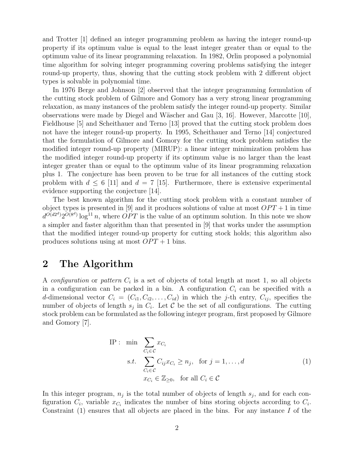and Trotter [1] defined an integer programming problem as having the integer round-up property if its optimum value is equal to the least integer greater than or equal to the optimum value of its linear programming relaxation. In 1982, Orlin proposed a polynomial time algorithm for solving integer programming covering problems satisfying the integer round-up property, thus, showing that the cutting stock problem with 2 different object types is solvable in polynomial time.

In 1976 Berge and Johnson [2] observed that the integer programming formulation of the cutting stock problem of Gilmore and Gomory has a very strong linear programming relaxation, as many instances of the problem satisfy the integer round-up property. Similar observations were made by Diegel and W¨ascher and Gau [3, 16]. However, Marcotte [10], Fieldhouse  $\left[5\right]$  and Scheithauer and Terno  $\left[13\right]$  proved that the cutting stock problem does not have the integer round-up property. In 1995, Scheithauer and Terno [14] conjectured that the formulation of Gilmore and Gomory for the cutting stock problem satisfies the modified integer round-up property (MIRUP): a linear integer minimization problem has the modified integer round-up property if its optimum value is no larger than the least integer greater than or equal to the optimum value of its linear programming relaxation plus 1. The conjecture has been proven to be true for all instances of the cutting stock problem with  $d \leq 6$  [11] and  $d = 7$  [15]. Furthermore, there is extensive experimental evidence supporting the conjecture [14].

The best known algorithm for the cutting stock problem with a constant number of object types is presented in [9] and it produces solutions of value at most  $OPT + 1$  in time  $d^{O(d2^d)} 2^{O(8^d)} \log^{11} n$ , where  $OPT$  is the value of an optimum solution. In this note we show a simpler and faster algorithm than that presented in [9] that works under the assumption that the modified integer round-up property for cutting stock holds; this algorithm also produces solutions using at most  $OPT + 1$  bins.

### 2 The Algorithm

A configuration or pattern  $C_i$  is a set of objects of total length at most 1, so all objects in a configuration can be packed in a bin. A configuration  $C_i$  can be specified with a d-dimensional vector  $C_i = (C_{i1}, C_{i2}, \ldots, C_{id})$  in which the j-th entry,  $C_{ij}$ , specifies the number of objects of length  $s_j$  in  $C_i$ . Let C be the set of all configurations. The cutting stock problem can be formulated as the following integer program, first proposed by Gilmore and Gomory [7].

IP: min 
$$
\sum_{C_i \in \mathcal{C}} x_{C_i}
$$
  
s.t.  $\sum_{C_i \in \mathcal{C}} C_{ij} x_{C_i} \ge n_j$ , for  $j = 1, ..., d$   
 $x_{C_i} \in \mathbb{Z}_{\ge 0}$ , for all  $C_i \in \mathcal{C}$  (1)

In this integer program,  $n_j$  is the total number of objects of length  $s_j$ , and for each configuration  $C_i$ , variable  $x_{C_i}$  indicates the number of bins storing objects according to  $C_i$ . Constraint  $(1)$  ensures that all objects are placed in the bins. For any instance I of the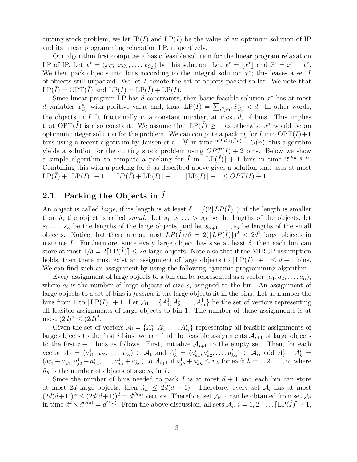cutting stock problem, we let  $IP(I)$  and  $LP(I)$  be the value of an optimum solution of IP and its linear programming relaxation LP, respectively.

Our algorithm first computes a basic feasible solution for the linear program relaxation LP of IP. Let  $x^* = (x_{C_1}, x_{C_2}, \ldots, x_{C_C})$  be this solution. Let  $\bar{x}^* = \lfloor x^* \rfloor$  and  $\tilde{x}^* = x^* - \bar{x}^*$ . We then pack objects into bins according to the integral solution  $\bar{x}^*$ ; this leaves a set  $\tilde{I}$ of objects still unpacked. We let  $I$  denote the set of objects packed so far. We note that  $LP(I) = OPT(I)$  and  $LP(I) = LP(I) + LP(I)$ .

Since linear program LP has  $d$  constraints, then basic feasible solution  $x^*$  has at most d variables  $x_{C_j}^*$  with positive value and, thus,  $LP(\tilde{I}) = \sum_{C_j \in \mathcal{C}} \tilde{x}_{C_j}^* < d$ . In other words, the objects in  $I$  fit fractionally in a constant number, at most  $d$ , of bins. This implies that OPT $(\tilde{I})$  is also constant. We assume that  $LP(\tilde{I}) \geq 1$  as otherwise  $x^*$  would be an optimum integer solution for the problem. We can compute a packing for  $\tilde{I}$  into  $\text{OPT}(\tilde{I})+1$ bins using a recent algorithm by Jansen et al. [8] in time  $2^{O(\tilde{d} \log^2 d)} + O(n)$ , this algorithm yields a solution for the cutting stock problem using  $OPT(I) + 2$  bins. Below we show a simple algorithm to compute a packing for  $\tilde{I}$  in  $[LP(\tilde{I})]+1$  bins in time  $2^{O(d \log d)}$ . Combining this with a packing for  $\bar{x}$  as described above gives a solution that uses at most  $LP(\overline{I}) + [LP(I)] + 1 = [LP(\overline{I}) + LP(I)] + 1 = [LP(I)] + 1 \le OPT(I) + 1.$ 

#### 2.1 Packing the Objects in  $\tilde{I}$

An object is called *large*, if its length is at least  $\delta = \sqrt{2[LP(\tilde{I})]}$ ; if the length is smaller than  $\delta$ , the object is called *small*. Let  $s_1 > \ldots > s_d$  be the lengths of the objects, let  $s_1, \ldots, s_\alpha$  be the lengths of the large objects, and let  $s_{\alpha+1}, \ldots, s_d$  be lengths of the small objects. Notice that there are at most  $LP(\tilde{I})/\delta = 2([LP(\tilde{I})])^2 < 2d^2$  large objects in instance I. Furthermore, since every large object has size at least  $\delta$ , then each bin can store at most  $1/\delta = 2[LP(I)] \leq 2d$  large objects. Note also that if the MIRUP assumption holds, then there must exist an assignment of large objects to  $[LP(I)] + 1 \le d + 1$  bins. We can find such an assignment by using the following dynamic programming algorithm.

Every assignment of large objects to a bin can be represented as a vector  $(a_1, a_2, \ldots, a_\alpha)$ , where  $a_i$  is the number of large objects of size  $s_i$  assigned to the bin. An assignment of large objects to a set of bins is feasible if the large objects fit in the bins. Let us number the bins from 1 to  $[LP(\tilde{I})] + 1$ . Let  $\mathcal{A}_1 = \{A_1^1, A_2^1, \ldots, A_{r_1}^1\}$  be the set of vectors representing all feasible assignments of large objects to bin 1. The number of these assignments is at most  $(2d)^{\alpha} \leq (2d)^d$ .

Given the set of vectors  $A_i = \{A_1^i, A_2^i, \ldots, A_{r_i}^i\}$  representing all feasible assignments of large objects to the first i bins, we can find the feasible assignments  $A_{i+1}$  of large objects to the first  $i + 1$  bins as follows. First, initialize  $A_{i+1}$  to the empty set. Then, for each vector  $A_j^1 = (a_{j1}^1, a_{j2}^1, \ldots, a_{j\alpha}^1) \in \mathcal{A}_1$  and  $A_k^i = (a_{k1}^i, a_{k2}^i, \ldots, a_{k\alpha}^i) \in \mathcal{A}_i$ , add  $A_j^1 + A_k^i =$  $(a_{j1}^1 + a_{k1}^i, a_{j2}^1 + a_{k2}^i, \ldots, a_{j\alpha}^1 + a_{k\alpha}^i)$  to  $\mathcal{A}_{i+1}$  if  $a_{jh}^1 + a_{kh}^i \leq \tilde{n}_h$  for each  $h = 1, 2, \ldots, \alpha$ , where  $\tilde{n}_h$  is the number of objects of size  $s_h$  in  $I$ .

Since the number of bins needed to pack I is at most  $d+1$  and each bin can store at most 2d large objects, then  $\tilde{n}_h \leq 2d(d+1)$ . Therefore, every set  $A_i$  has at most  $(2d(d+1))^{\alpha} \leq (2d(d+1))^d = d^{O(d)}$  vectors. Therefore, set  $\mathcal{A}_{i+1}$  can be obtained from set  $\mathcal{A}_i$ in time  $d^d \times d^{O(d)} = d^{O(d)}$ . From the above discussion, all sets  $\mathcal{A}_i$ ,  $i = 1, 2, ..., [LP(\tilde{I})] + 1$ ,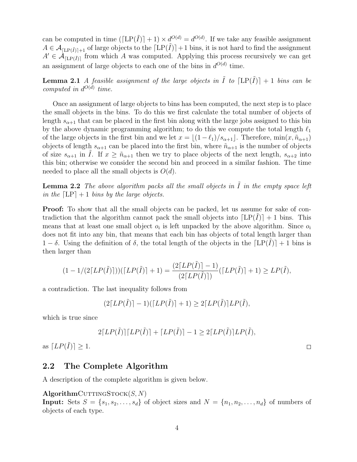can be computed in time  $(\lfloor L(P(\tilde{I})\rfloor + 1) \times d^{O(d)} = d^{O(d)}$ . If we take any feasible assignment  $A \in \mathcal{A}_{\Pi \cdot P(\tilde{I})+1}$  of large objects to the  $\lceil LP(\tilde{I}) \rceil+1$  bins, it is not hard to find the assignment  $A' \in \mathcal{A}_{\lceil \text{LP}(\tilde{I}) \rceil}$  from which A was computed. Applying this process recursively we can get an assignment of large objects to each one of the bins in  $d^{O(d)}$  time.

**Lemma 2.1** A feasible assignment of the large objects in  $\tilde{I}$  to  $[LP(\tilde{I})]+1$  bins can be computed in  $d^{O(d)}$  time.

Once an assignment of large objects to bins has been computed, the next step is to place the small objects in the bins. To do this we first calculate the total number of objects of length  $s_{\alpha+1}$  that can be placed in the first bin along with the large jobs assigned to this bin by the above dynamic programming algorithm; to do this we compute the total length  $\ell_1$ of the large objects in the first bin and we let  $x = \frac{(1 - \ell_1)}{s_{\alpha+1}}$ . Therefore, min $(x, \tilde{n}_{\alpha+1})$ objects of length  $s_{\alpha+1}$  can be placed into the first bin, where  $\tilde{n}_{\alpha+1}$  is the number of objects of size  $s_{\alpha+1}$  in *I*. If  $x \geq \tilde{n}_{\alpha+1}$  then we try to place objects of the next length,  $s_{\alpha+2}$  into this bin; otherwise we consider the second bin and proceed in a similar fashion. The time needed to place all the small objects is  $O(d)$ .

**Lemma 2.2** The above algorithm packs all the small objects in  $\tilde{I}$  in the empty space left in the  $[LP] + 1$  bins by the large objects.

**Proof:** To show that all the small objects can be packed, let us assume for sake of contradiction that the algorithm cannot pack the small objects into  $[LP(I)] + 1$  bins. This means that at least one small object  $o_i$  is left unpacked by the above algorithm. Since  $o_i$ does not fit into any bin, that means that each bin has objects of total length larger than  $1 - \delta$ . Using the definition of  $\delta$ , the total length of the objects in the  $[LP(I)] + 1$  bins is then larger than

$$
(1 - 1/(2\lceil LP(\tilde{I})\rceil))(\lceil LP(\tilde{I})\rceil + 1) = \frac{(2\lceil LP(\tilde{I})\rceil - 1)}{(2\lceil LP(\tilde{I})\rceil)}(\lceil LP(\tilde{I})\rceil + 1) \ge LP(\tilde{I}),
$$

a contradiction. The last inequality follows from

 $(2[LP(\tilde{I})] - 1)([LP(\tilde{I})] + 1) \ge 2[LP(\tilde{I})]LP(\tilde{I}),$ 

which is true since

$$
2\lceil LP(\tilde{I})\rceil \lceil LP(\tilde{I})\rceil + \lceil LP(\tilde{I})\rceil - 1 \ge 2\lceil LP(\tilde{I})\rceil LP(\tilde{I}),
$$

as  $[LP(\tilde{I})] \geq 1$ .

#### 2.2 The Complete Algorithm

A description of the complete algorithm is given below.

#### $\mathbf{AlgorithmC}$ UTTINGSTOCK $(S, N)$

Input: Sets  $S = \{s_1, s_2, \ldots, s_d\}$  of object sizes and  $N = \{n_1, n_2, \ldots, n_d\}$  of numbers of objects of each type.

 $\Box$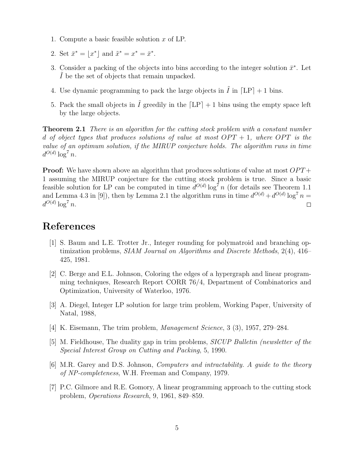- 1. Compute a basic feasible solution x of LP.
- 2. Set  $\bar{x}^* = \lfloor x^* \rfloor$  and  $\tilde{x}^* = x^* = \bar{x}^*$ .
- 3. Consider a packing of the objects into bins according to the integer solution  $\bar{x}^*$ . Let I be the set of objects that remain unpacked.
- 4. Use dynamic programming to pack the large objects in  $I$  in  $[LP] + 1$  bins.
- 5. Pack the small objects in  $\tilde{I}$  greedily in the  $[LP] + 1$  bins using the empty space left by the large objects.

**Theorem 2.1** There is an algorithm for the cutting stock problem with a constant number d of object types that produces solutions of value at most  $OPT + 1$ , where  $OPT$  is the value of an optimum solution, if the MIRUP conjecture holds. The algorithm runs in time  $d^{O(d)}\log^7 n$ .

**Proof:** We have shown above an algorithm that produces solutions of value at most  $OPT +$ 1 assuming the MIRUP conjecture for the cutting stock problem is true. Since a basic feasible solution for LP can be computed in time  $d^{O(d)} \log^7 n$  (for details see Theorem 1.1) and Lemma 4.3 in [9]), then by Lemma 2.1 the algorithm runs in time  $d^{O(d)} + d^{O(d)} \log^7 n =$  $d^{O(d)}\log^7 n$ .  $\Box$ 

## References

- [1] S. Baum and L.E. Trotter Jr., Integer rounding for polymatroid and branching optimization problems, SIAM Journal on Algorithms and Discrete Methods, 2(4), 416– 425, 1981.
- [2] C. Berge and E.L. Johnson, Coloring the edges of a hypergraph and linear programming techniques, Research Report CORR 76/4, Department of Combinatorics and Optimization, University of Waterloo, 1976.
- [3] A. Diegel, Integer LP solution for large trim problem, Working Paper, University of Natal, 1988,
- [4] K. Eisemann, The trim problem, Management Science, 3 (3), 1957, 279–284.
- [5] M. Fieldhouse, The duality gap in trim problems, SICUP Bulletin (newsletter of the Special Interest Group on Cutting and Packing, 5, 1990.
- [6] M.R. Garey and D.S. Johnson, Computers and intractability. A guide to the theory of NP-completeness, W.H. Freeman and Company, 1979.
- [7] P.C. Gilmore and R.E. Gomory, A linear programming approach to the cutting stock problem, Operations Research, 9, 1961, 849–859.